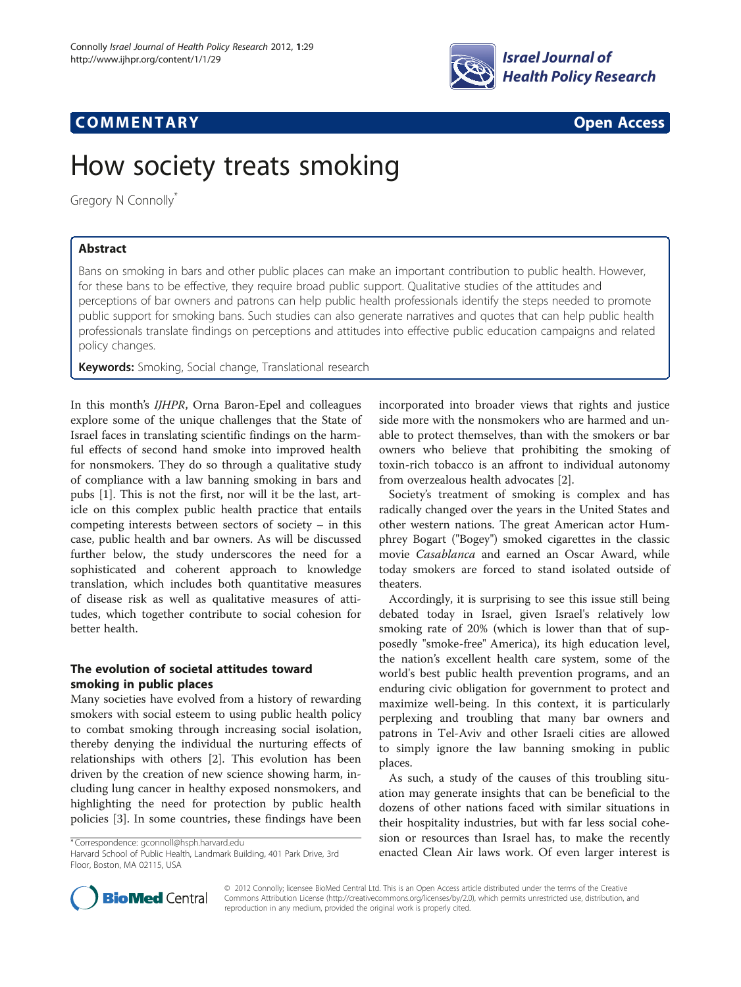

## **COMMENTARY COMMENTARY Open Access**

# How society treats smoking

Gregory N Connolly<sup>\*</sup>

## Abstract

Bans on smoking in bars and other public places can make an important contribution to public health. However, for these bans to be effective, they require broad public support. Qualitative studies of the attitudes and perceptions of bar owners and patrons can help public health professionals identify the steps needed to promote public support for smoking bans. Such studies can also generate narratives and quotes that can help public health professionals translate findings on perceptions and attitudes into effective public education campaigns and related policy changes.

Keywords: Smoking, Social change, Translational research

In this month's IJHPR, Orna Baron-Epel and colleagues explore some of the unique challenges that the State of Israel faces in translating scientific findings on the harmful effects of second hand smoke into improved health for nonsmokers. They do so through a qualitative study of compliance with a law banning smoking in bars and pubs [[1\]](#page-3-0). This is not the first, nor will it be the last, article on this complex public health practice that entails competing interests between sectors of society – in this case, public health and bar owners. As will be discussed further below, the study underscores the need for a sophisticated and coherent approach to knowledge translation, which includes both quantitative measures of disease risk as well as qualitative measures of attitudes, which together contribute to social cohesion for better health.

## The evolution of societal attitudes toward smoking in public places

Many societies have evolved from a history of rewarding smokers with social esteem to using public health policy to combat smoking through increasing social isolation, thereby denying the individual the nurturing effects of relationships with others [[2](#page-3-0)]. This evolution has been driven by the creation of new science showing harm, including lung cancer in healthy exposed nonsmokers, and highlighting the need for protection by public health policies [[3\]](#page-3-0). In some countries, these findings have been

incorporated into broader views that rights and justice side more with the nonsmokers who are harmed and unable to protect themselves, than with the smokers or bar owners who believe that prohibiting the smoking of toxin-rich tobacco is an affront to individual autonomy from overzealous health advocates [[2](#page-3-0)].

Society's treatment of smoking is complex and has radically changed over the years in the United States and other western nations. The great American actor Humphrey Bogart ("Bogey") smoked cigarettes in the classic movie Casablanca and earned an Oscar Award, while today smokers are forced to stand isolated outside of theaters.

Accordingly, it is surprising to see this issue still being debated today in Israel, given Israel's relatively low smoking rate of 20% (which is lower than that of supposedly "smoke-free" America), its high education level, the nation's excellent health care system, some of the world's best public health prevention programs, and an enduring civic obligation for government to protect and maximize well-being. In this context, it is particularly perplexing and troubling that many bar owners and patrons in Tel-Aviv and other Israeli cities are allowed to simply ignore the law banning smoking in public places.

As such, a study of the causes of this troubling situation may generate insights that can be beneficial to the dozens of other nations faced with similar situations in their hospitality industries, but with far less social cohesion or resources than Israel has, to make the recently enacted Clean Air laws work. Of even larger interest is



© 2012 Connolly; licensee BioMed Central Ltd. This is an Open Access article distributed under the terms of the Creative Commons Attribution License [\(http://creativecommons.org/licenses/by/2.0\)](http://creativecommons.org/licenses/by/2.0), which permits unrestricted use, distribution, and reproduction in any medium, provided the original work is properly cited.

<sup>\*</sup>Correspondence: [gconnoll@hsph.harvard.edu](mailto:gconnoll@hsph.harvard.edu)

Harvard School of Public Health, Landmark Building, 401 Park Drive, 3rd Floor, Boston, MA 02115, USA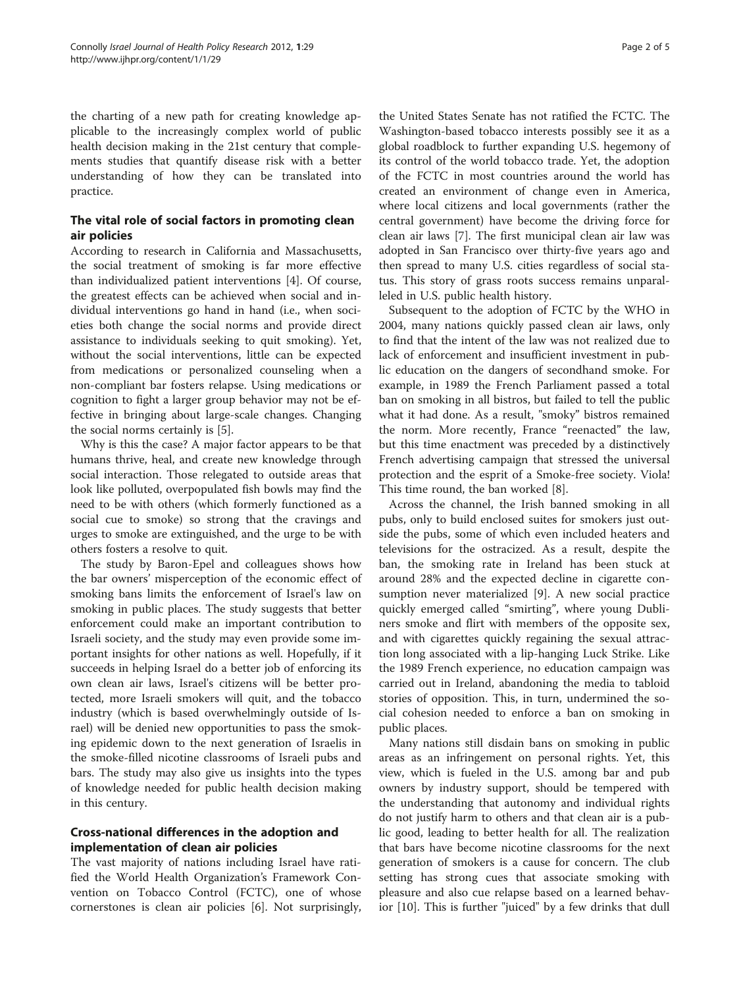the charting of a new path for creating knowledge applicable to the increasingly complex world of public health decision making in the 21st century that complements studies that quantify disease risk with a better understanding of how they can be translated into practice.

## The vital role of social factors in promoting clean air policies

According to research in California and Massachusetts, the social treatment of smoking is far more effective than individualized patient interventions [[4\]](#page-4-0). Of course, the greatest effects can be achieved when social and individual interventions go hand in hand (i.e., when societies both change the social norms and provide direct assistance to individuals seeking to quit smoking). Yet, without the social interventions, little can be expected from medications or personalized counseling when a non-compliant bar fosters relapse. Using medications or cognition to fight a larger group behavior may not be effective in bringing about large-scale changes. Changing the social norms certainly is [[5\]](#page-4-0).

Why is this the case? A major factor appears to be that humans thrive, heal, and create new knowledge through social interaction. Those relegated to outside areas that look like polluted, overpopulated fish bowls may find the need to be with others (which formerly functioned as a social cue to smoke) so strong that the cravings and urges to smoke are extinguished, and the urge to be with others fosters a resolve to quit.

The study by Baron-Epel and colleagues shows how the bar owners' misperception of the economic effect of smoking bans limits the enforcement of Israel's law on smoking in public places. The study suggests that better enforcement could make an important contribution to Israeli society, and the study may even provide some important insights for other nations as well. Hopefully, if it succeeds in helping Israel do a better job of enforcing its own clean air laws, Israel's citizens will be better protected, more Israeli smokers will quit, and the tobacco industry (which is based overwhelmingly outside of Israel) will be denied new opportunities to pass the smoking epidemic down to the next generation of Israelis in the smoke-filled nicotine classrooms of Israeli pubs and bars. The study may also give us insights into the types of knowledge needed for public health decision making in this century.

## Cross-national differences in the adoption and implementation of clean air policies

The vast majority of nations including Israel have ratified the World Health Organization's Framework Convention on Tobacco Control (FCTC), one of whose cornerstones is clean air policies [\[6\]](#page-4-0). Not surprisingly,

the United States Senate has not ratified the FCTC. The Washington-based tobacco interests possibly see it as a global roadblock to further expanding U.S. hegemony of its control of the world tobacco trade. Yet, the adoption of the FCTC in most countries around the world has created an environment of change even in America, where local citizens and local governments (rather the central government) have become the driving force for clean air laws [[7](#page-4-0)]. The first municipal clean air law was adopted in San Francisco over thirty-five years ago and then spread to many U.S. cities regardless of social status. This story of grass roots success remains unparalleled in U.S. public health history.

Subsequent to the adoption of FCTC by the WHO in 2004, many nations quickly passed clean air laws, only to find that the intent of the law was not realized due to lack of enforcement and insufficient investment in public education on the dangers of secondhand smoke. For example, in 1989 the French Parliament passed a total ban on smoking in all bistros, but failed to tell the public what it had done. As a result, "smoky" bistros remained the norm. More recently, France "reenacted" the law, but this time enactment was preceded by a distinctively French advertising campaign that stressed the universal protection and the esprit of a Smoke-free society. Viola! This time round, the ban worked [[8\]](#page-4-0).

Across the channel, the Irish banned smoking in all pubs, only to build enclosed suites for smokers just outside the pubs, some of which even included heaters and televisions for the ostracized. As a result, despite the ban, the smoking rate in Ireland has been stuck at around 28% and the expected decline in cigarette consumption never materialized [\[9\]](#page-4-0). A new social practice quickly emerged called "smirting", where young Dubliners smoke and flirt with members of the opposite sex, and with cigarettes quickly regaining the sexual attraction long associated with a lip-hanging Luck Strike. Like the 1989 French experience, no education campaign was carried out in Ireland, abandoning the media to tabloid stories of opposition. This, in turn, undermined the social cohesion needed to enforce a ban on smoking in public places.

Many nations still disdain bans on smoking in public areas as an infringement on personal rights. Yet, this view, which is fueled in the U.S. among bar and pub owners by industry support, should be tempered with the understanding that autonomy and individual rights do not justify harm to others and that clean air is a public good, leading to better health for all. The realization that bars have become nicotine classrooms for the next generation of smokers is a cause for concern. The club setting has strong cues that associate smoking with pleasure and also cue relapse based on a learned behavior [\[10](#page-4-0)]. This is further "juiced" by a few drinks that dull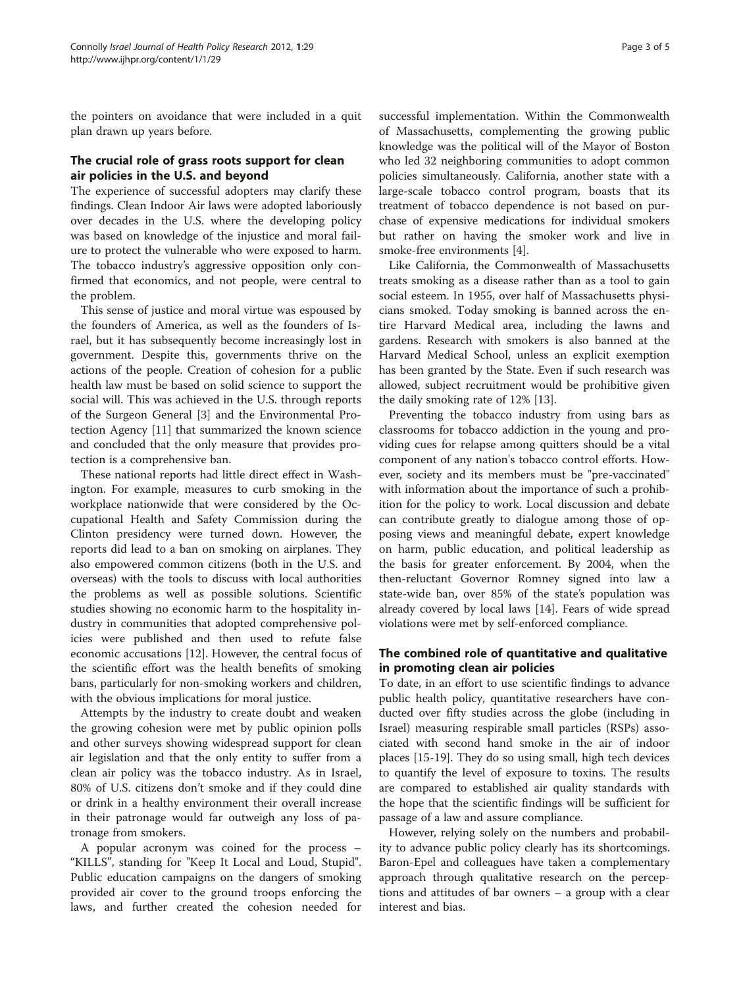the pointers on avoidance that were included in a quit plan drawn up years before.

### The crucial role of grass roots support for clean air policies in the U.S. and beyond

The experience of successful adopters may clarify these findings. Clean Indoor Air laws were adopted laboriously over decades in the U.S. where the developing policy was based on knowledge of the injustice and moral failure to protect the vulnerable who were exposed to harm. The tobacco industry's aggressive opposition only confirmed that economics, and not people, were central to the problem.

This sense of justice and moral virtue was espoused by the founders of America, as well as the founders of Israel, but it has subsequently become increasingly lost in government. Despite this, governments thrive on the actions of the people. Creation of cohesion for a public health law must be based on solid science to support the social will. This was achieved in the U.S. through reports of the Surgeon General [\[3](#page-3-0)] and the Environmental Protection Agency [[11\]](#page-4-0) that summarized the known science and concluded that the only measure that provides protection is a comprehensive ban.

These national reports had little direct effect in Washington. For example, measures to curb smoking in the workplace nationwide that were considered by the Occupational Health and Safety Commission during the Clinton presidency were turned down. However, the reports did lead to a ban on smoking on airplanes. They also empowered common citizens (both in the U.S. and overseas) with the tools to discuss with local authorities the problems as well as possible solutions. Scientific studies showing no economic harm to the hospitality industry in communities that adopted comprehensive policies were published and then used to refute false economic accusations [\[12\]](#page-4-0). However, the central focus of the scientific effort was the health benefits of smoking bans, particularly for non-smoking workers and children, with the obvious implications for moral justice.

Attempts by the industry to create doubt and weaken the growing cohesion were met by public opinion polls and other surveys showing widespread support for clean air legislation and that the only entity to suffer from a clean air policy was the tobacco industry. As in Israel, 80% of U.S. citizens don't smoke and if they could dine or drink in a healthy environment their overall increase in their patronage would far outweigh any loss of patronage from smokers.

A popular acronym was coined for the process – "KILLS", standing for "Keep It Local and Loud, Stupid". Public education campaigns on the dangers of smoking provided air cover to the ground troops enforcing the laws, and further created the cohesion needed for

successful implementation. Within the Commonwealth of Massachusetts, complementing the growing public knowledge was the political will of the Mayor of Boston who led 32 neighboring communities to adopt common policies simultaneously. California, another state with a large-scale tobacco control program, boasts that its treatment of tobacco dependence is not based on purchase of expensive medications for individual smokers but rather on having the smoker work and live in smoke-free environments [\[4](#page-4-0)].

Like California, the Commonwealth of Massachusetts treats smoking as a disease rather than as a tool to gain social esteem. In 1955, over half of Massachusetts physicians smoked. Today smoking is banned across the entire Harvard Medical area, including the lawns and gardens. Research with smokers is also banned at the Harvard Medical School, unless an explicit exemption has been granted by the State. Even if such research was allowed, subject recruitment would be prohibitive given the daily smoking rate of 12% [[13](#page-4-0)].

Preventing the tobacco industry from using bars as classrooms for tobacco addiction in the young and providing cues for relapse among quitters should be a vital component of any nation's tobacco control efforts. However, society and its members must be "pre-vaccinated" with information about the importance of such a prohibition for the policy to work. Local discussion and debate can contribute greatly to dialogue among those of opposing views and meaningful debate, expert knowledge on harm, public education, and political leadership as the basis for greater enforcement. By 2004, when the then-reluctant Governor Romney signed into law a state-wide ban, over 85% of the state's population was already covered by local laws [\[14](#page-4-0)]. Fears of wide spread violations were met by self-enforced compliance.

### The combined role of quantitative and qualitative in promoting clean air policies

To date, in an effort to use scientific findings to advance public health policy, quantitative researchers have conducted over fifty studies across the globe (including in Israel) measuring respirable small particles (RSPs) associated with second hand smoke in the air of indoor places [[15-19\]](#page-4-0). They do so using small, high tech devices to quantify the level of exposure to toxins. The results are compared to established air quality standards with the hope that the scientific findings will be sufficient for passage of a law and assure compliance.

However, relying solely on the numbers and probability to advance public policy clearly has its shortcomings. Baron-Epel and colleagues have taken a complementary approach through qualitative research on the perceptions and attitudes of bar owners – a group with a clear interest and bias.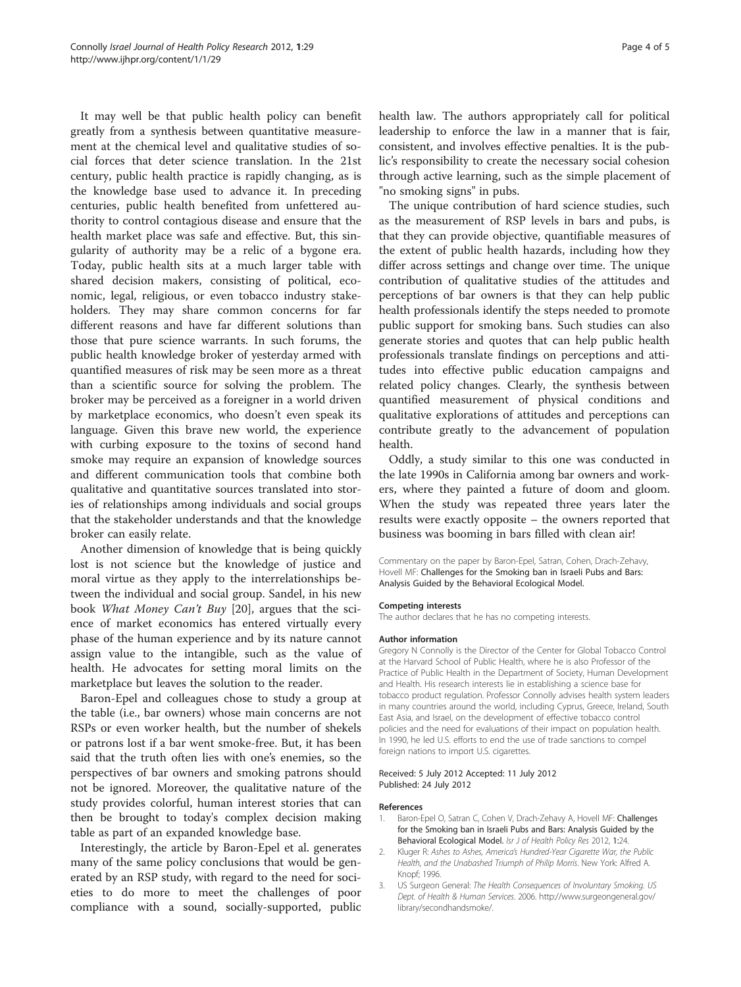<span id="page-3-0"></span>It may well be that public health policy can benefit greatly from a synthesis between quantitative measurement at the chemical level and qualitative studies of social forces that deter science translation. In the 21st century, public health practice is rapidly changing, as is the knowledge base used to advance it. In preceding centuries, public health benefited from unfettered authority to control contagious disease and ensure that the health market place was safe and effective. But, this singularity of authority may be a relic of a bygone era. Today, public health sits at a much larger table with shared decision makers, consisting of political, economic, legal, religious, or even tobacco industry stakeholders. They may share common concerns for far different reasons and have far different solutions than those that pure science warrants. In such forums, the public health knowledge broker of yesterday armed with quantified measures of risk may be seen more as a threat than a scientific source for solving the problem. The broker may be perceived as a foreigner in a world driven by marketplace economics, who doesn't even speak its language. Given this brave new world, the experience with curbing exposure to the toxins of second hand smoke may require an expansion of knowledge sources and different communication tools that combine both qualitative and quantitative sources translated into stories of relationships among individuals and social groups that the stakeholder understands and that the knowledge broker can easily relate.

Another dimension of knowledge that is being quickly lost is not science but the knowledge of justice and moral virtue as they apply to the interrelationships between the individual and social group. Sandel, in his new book What Money Can't Buy [\[20](#page-4-0)], argues that the science of market economics has entered virtually every phase of the human experience and by its nature cannot assign value to the intangible, such as the value of health. He advocates for setting moral limits on the marketplace but leaves the solution to the reader.

Baron-Epel and colleagues chose to study a group at the table (i.e., bar owners) whose main concerns are not RSPs or even worker health, but the number of shekels or patrons lost if a bar went smoke-free. But, it has been said that the truth often lies with one's enemies, so the perspectives of bar owners and smoking patrons should not be ignored. Moreover, the qualitative nature of the study provides colorful, human interest stories that can then be brought to today's complex decision making table as part of an expanded knowledge base.

Interestingly, the article by Baron-Epel et al. generates many of the same policy conclusions that would be generated by an RSP study, with regard to the need for societies to do more to meet the challenges of poor compliance with a sound, socially-supported, public health law. The authors appropriately call for political leadership to enforce the law in a manner that is fair, consistent, and involves effective penalties. It is the public's responsibility to create the necessary social cohesion through active learning, such as the simple placement of "no smoking signs" in pubs.

The unique contribution of hard science studies, such as the measurement of RSP levels in bars and pubs, is that they can provide objective, quantifiable measures of the extent of public health hazards, including how they differ across settings and change over time. The unique contribution of qualitative studies of the attitudes and perceptions of bar owners is that they can help public health professionals identify the steps needed to promote public support for smoking bans. Such studies can also generate stories and quotes that can help public health professionals translate findings on perceptions and attitudes into effective public education campaigns and related policy changes. Clearly, the synthesis between quantified measurement of physical conditions and qualitative explorations of attitudes and perceptions can contribute greatly to the advancement of population health.

Oddly, a study similar to this one was conducted in the late 1990s in California among bar owners and workers, where they painted a future of doom and gloom. When the study was repeated three years later the results were exactly opposite – the owners reported that business was booming in bars filled with clean air!

Commentary on the paper by Baron-Epel, Satran, Cohen, Drach-Zehavy, Hovell MF: Challenges for the Smoking ban in Israeli Pubs and Bars: Analysis Guided by the Behavioral Ecological Model.

#### Competing interests

The author declares that he has no competing interests.

#### Author information

Gregory N Connolly is the Director of the Center for Global Tobacco Control at the Harvard School of Public Health, where he is also Professor of the Practice of Public Health in the Department of Society, Human Development and Health. His research interests lie in establishing a science base for tobacco product regulation. Professor Connolly advises health system leaders in many countries around the world, including Cyprus, Greece, Ireland, South East Asia, and Israel, on the development of effective tobacco control policies and the need for evaluations of their impact on population health. In 1990, he led U.S. efforts to end the use of trade sanctions to compel foreign nations to import U.S. cigarettes.

#### Received: 5 July 2012 Accepted: 11 July 2012 Published: 24 July 2012

#### References

- 1. Baron-Epel O, Satran C, Cohen V, Drach-Zehavy A, Hovell MF: Challenges for the Smoking ban in Israeli Pubs and Bars: Analysis Guided by the Behavioral Ecological Model. Isr J of Health Policy Res 2012, 1:24.
- 2. Kluger R: Ashes to Ashes, America's Hundred-Year Cigarette War, the Public Health, and the Unabashed Triumph of Philip Morris. New York: Alfred A. Knopf; 1996.
- 3. US Surgeon General: The Health Consequences of Involuntary Smoking. US Dept. of Health & Human Services. 2006. [http://www.surgeongeneral.gov/](http://www.surgeongeneral.gov/library/secondhandsmoke/) [library/secondhandsmoke/.](http://www.surgeongeneral.gov/library/secondhandsmoke/)